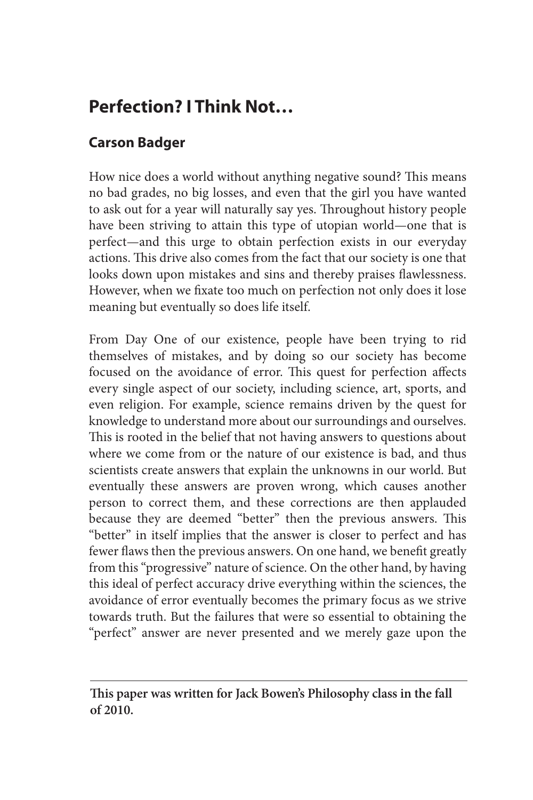## **Perfection? I Think Not…**

## **Carson Badger**

How nice does a world without anything negative sound? This means no bad grades, no big losses, and even that the girl you have wanted to ask out for a year will naturally say yes. Throughout history people have been striving to attain this type of utopian world—one that is perfect—and this urge to obtain perfection exists in our everyday actions. This drive also comes from the fact that our society is one that looks down upon mistakes and sins and thereby praises flawlessness. However, when we fixate too much on perfection not only does it lose meaning but eventually so does life itself.

From Day One of our existence, people have been trying to rid themselves of mistakes, and by doing so our society has become focused on the avoidance of error. This quest for perfection affects every single aspect of our society, including science, art, sports, and even religion. For example, science remains driven by the quest for knowledge to understand more about our surroundings and ourselves. This is rooted in the belief that not having answers to questions about where we come from or the nature of our existence is bad, and thus scientists create answers that explain the unknowns in our world. But eventually these answers are proven wrong, which causes another person to correct them, and these corrections are then applauded because they are deemed "better" then the previous answers. This "better" in itself implies that the answer is closer to perfect and has fewer flaws then the previous answers. On one hand, we benefit greatly from this "progressive" nature of science. On the other hand, by having this ideal of perfect accuracy drive everything within the sciences, the avoidance of error eventually becomes the primary focus as we strive towards truth. But the failures that were so essential to obtaining the "perfect" answer are never presented and we merely gaze upon the

**This paper was written for Jack Bowen's Philosophy class in the fall of 2010.**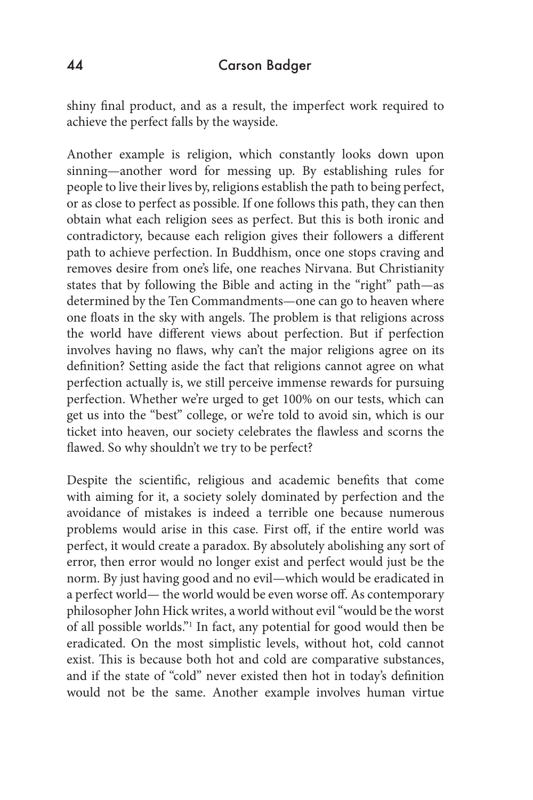shiny final product, and as a result, the imperfect work required to achieve the perfect falls by the wayside.

Another example is religion, which constantly looks down upon sinning—another word for messing up. By establishing rules for people to live their lives by, religions establish the path to being perfect, or as close to perfect as possible. If one follows this path, they can then obtain what each religion sees as perfect. But this is both ironic and contradictory, because each religion gives their followers a different path to achieve perfection. In Buddhism, once one stops craving and removes desire from one's life, one reaches Nirvana. But Christianity states that by following the Bible and acting in the "right" path—as determined by the Ten Commandments—one can go to heaven where one floats in the sky with angels. The problem is that religions across the world have different views about perfection. But if perfection involves having no flaws, why can't the major religions agree on its definition? Setting aside the fact that religions cannot agree on what perfection actually is, we still perceive immense rewards for pursuing perfection. Whether we're urged to get 100% on our tests, which can get us into the "best" college, or we're told to avoid sin, which is our ticket into heaven, our society celebrates the flawless and scorns the flawed. So why shouldn't we try to be perfect?

Despite the scientific, religious and academic benefits that come with aiming for it, a society solely dominated by perfection and the avoidance of mistakes is indeed a terrible one because numerous problems would arise in this case. First off, if the entire world was perfect, it would create a paradox. By absolutely abolishing any sort of error, then error would no longer exist and perfect would just be the norm. By just having good and no evil—which would be eradicated in a perfect world— the world would be even worse off. As contemporary philosopher John Hick writes, a world without evil "would be the worst of all possible worlds."1 In fact, any potential for good would then be eradicated. On the most simplistic levels, without hot, cold cannot exist. This is because both hot and cold are comparative substances, and if the state of "cold" never existed then hot in today's definition would not be the same. Another example involves human virtue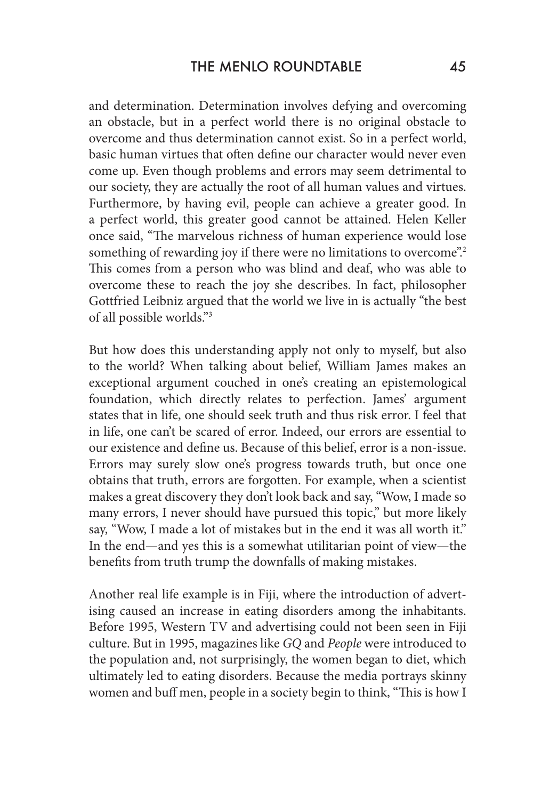and determination. Determination involves defying and overcoming an obstacle, but in a perfect world there is no original obstacle to overcome and thus determination cannot exist. So in a perfect world, basic human virtues that often define our character would never even come up. Even though problems and errors may seem detrimental to our society, they are actually the root of all human values and virtues. Furthermore, by having evil, people can achieve a greater good. In a perfect world, this greater good cannot be attained. Helen Keller once said, "The marvelous richness of human experience would lose something of rewarding joy if there were no limitations to overcome".<sup>2</sup> This comes from a person who was blind and deaf, who was able to overcome these to reach the joy she describes. In fact, philosopher Gottfried Leibniz argued that the world we live in is actually "the best of all possible worlds."3

But how does this understanding apply not only to myself, but also to the world? When talking about belief, William James makes an exceptional argument couched in one's creating an epistemological foundation, which directly relates to perfection. James' argument states that in life, one should seek truth and thus risk error. I feel that in life, one can't be scared of error. Indeed, our errors are essential to our existence and define us. Because of this belief, error is a non-issue. Errors may surely slow one's progress towards truth, but once one obtains that truth, errors are forgotten. For example, when a scientist makes a great discovery they don't look back and say, "Wow, I made so many errors, I never should have pursued this topic," but more likely say, "Wow, I made a lot of mistakes but in the end it was all worth it." In the end—and yes this is a somewhat utilitarian point of view—the benefits from truth trump the downfalls of making mistakes.

Another real life example is in Fiji, where the introduction of advertising caused an increase in eating disorders among the inhabitants. Before 1995, Western TV and advertising could not been seen in Fiji culture. But in 1995, magazines like *GQ* and *People* were introduced to the population and, not surprisingly, the women began to diet, which ultimately led to eating disorders. Because the media portrays skinny women and buff men, people in a society begin to think, "This is how I